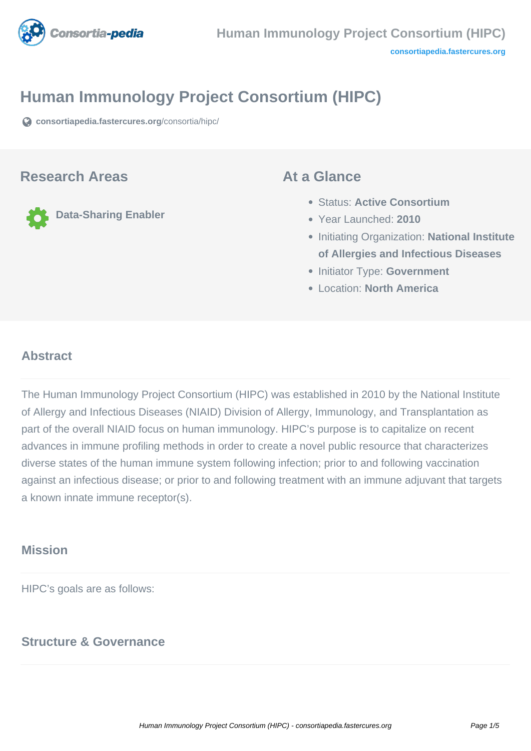

# **Human Immunology Project Consortium (HIPC)**

**[consortiapedia.fastercures.org](https://consortiapedia.fastercures.org/consortia/hipc/)**[/consortia/hipc/](https://consortiapedia.fastercures.org/consortia/hipc/)

### **Research Areas**

**Data-Sharing Enabler**

### **At a Glance**

- Status: **Active Consortium**
- Year Launched: **2010**
- **Initiating Organization: National Institute of Allergies and Infectious Diseases**
- **Initiator Type: Government**
- Location: **North America**

#### $\overline{a}$ **Abstract**

The Human Immunology Project Consortium (HIPC) was established in 2010 by the National Institute of Allergy and Infectious Diseases (NIAID) Division of Allergy, Immunology, and Transplantation as part of the overall NIAID focus on human immunology. HIPC's purpose is to capitalize on recent advances in immune profiling methods in order to create a novel public resource that characterizes diverse states of the human immune system following infection; prior to and following vaccination against an infectious disease; or prior to and following treatment with an immune adjuvant that targets a known innate immune receptor(s).

## **Mission**

HIPC's goals are as follows:

## **Structure & Governance**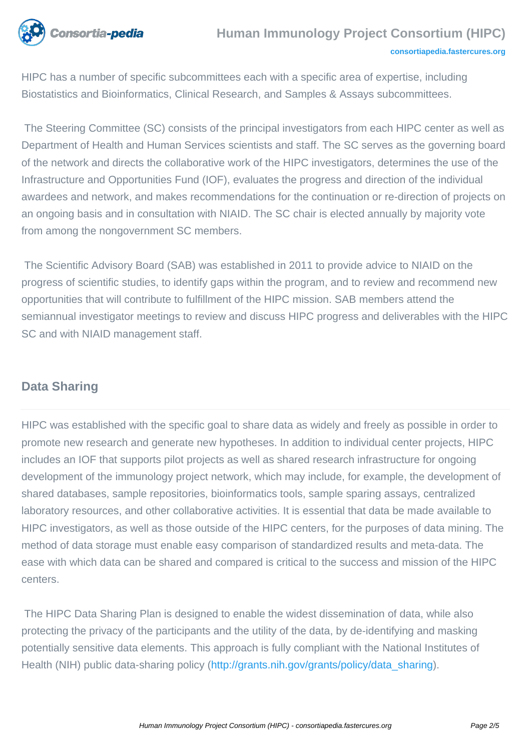

HIPC has a number of specific subcommittees each with a specific area of expertise, including Biostatistics and Bioinformatics, Clinical Research, and Samples & Assays subcommittees.

 The Steering Committee (SC) consists of the principal investigators from each HIPC center as well as Department of Health and Human Services scientists and staff. The SC serves as the governing board of the network and directs the collaborative work of the HIPC investigators, determines the use of the Infrastructure and Opportunities Fund (IOF), evaluates the progress and direction of the individual awardees and network, and makes recommendations for the continuation or re-direction of projects on an ongoing basis and in consultation with NIAID. The SC chair is elected annually by majority vote from among the nongovernment SC members.

 The Scientific Advisory Board (SAB) was established in 2011 to provide advice to NIAID on the progress of scientific studies, to identify gaps within the program, and to review and recommend new opportunities that will contribute to fulfillment of the HIPC mission. SAB members attend the semiannual investigator meetings to review and discuss HIPC progress and deliverables with the HIPC SC and with NIAID management staff.

# **Data Sharing**

HIPC was established with the specific goal to share data as widely and freely as possible in order to promote new research and generate new hypotheses. In addition to individual center projects, HIPC includes an IOF that supports pilot projects as well as shared research infrastructure for ongoing development of the immunology project network, which may include, for example, the development of shared databases, sample repositories, bioinformatics tools, sample sparing assays, centralized laboratory resources, and other collaborative activities. It is essential that data be made available to HIPC investigators, as well as those outside of the HIPC centers, for the purposes of data mining. The method of data storage must enable easy comparison of standardized results and meta-data. The ease with which data can be shared and compared is critical to the success and mission of the HIPC centers.

 The HIPC Data Sharing Plan is designed to enable the widest dissemination of data, while also protecting the privacy of the participants and the utility of the data, by de-identifying and masking potentially sensitive data elements. This approach is fully compliant with the National Institutes of Health (NIH) public data-sharing policy ([http://grants.nih.gov/grants/policy/data\\_sharing\)](http://grants.nih.gov/grants/policy/data_sharing).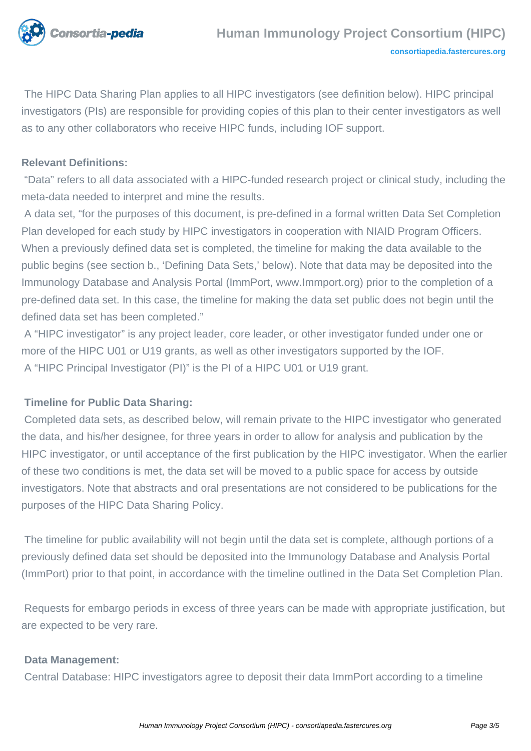

 The HIPC Data Sharing Plan applies to all HIPC investigators (see definition below). HIPC principal investigators (PIs) are responsible for providing copies of this plan to their center investigators as well as to any other collaborators who receive HIPC funds, including IOF support.

#### **Relevant Definitions:**

 "Data" refers to all data associated with a HIPC-funded research project or clinical study, including the meta-data needed to interpret and mine the results.

 A data set, "for the purposes of this document, is pre-defined in a formal written Data Set Completion Plan developed for each study by HIPC investigators in cooperation with NIAID Program Officers. When a previously defined data set is completed, the timeline for making the data available to the public begins (see section b., 'Defining Data Sets,' below). Note that data may be deposited into the Immunology Database and Analysis Portal (ImmPort, www.Immport.org) prior to the completion of a pre-defined data set. In this case, the timeline for making the data set public does not begin until the defined data set has been completed."

 A "HIPC investigator" is any project leader, core leader, or other investigator funded under one or more of the HIPC U01 or U19 grants, as well as other investigators supported by the IOF. A "HIPC Principal Investigator (PI)" is the PI of a HIPC U01 or U19 grant.

#### **Timeline for Public Data Sharing:**

 Completed data sets, as described below, will remain private to the HIPC investigator who generated the data, and his/her designee, for three years in order to allow for analysis and publication by the HIPC investigator, or until acceptance of the first publication by the HIPC investigator. When the earlier of these two conditions is met, the data set will be moved to a public space for access by outside investigators. Note that abstracts and oral presentations are not considered to be publications for the purposes of the HIPC Data Sharing Policy.

 The timeline for public availability will not begin until the data set is complete, although portions of a previously defined data set should be deposited into the Immunology Database and Analysis Portal (ImmPort) prior to that point, in accordance with the timeline outlined in the Data Set Completion Plan.

 Requests for embargo periods in excess of three years can be made with appropriate justification, but are expected to be very rare.

#### **Data Management:**

Central Database: HIPC investigators agree to deposit their data ImmPort according to a timeline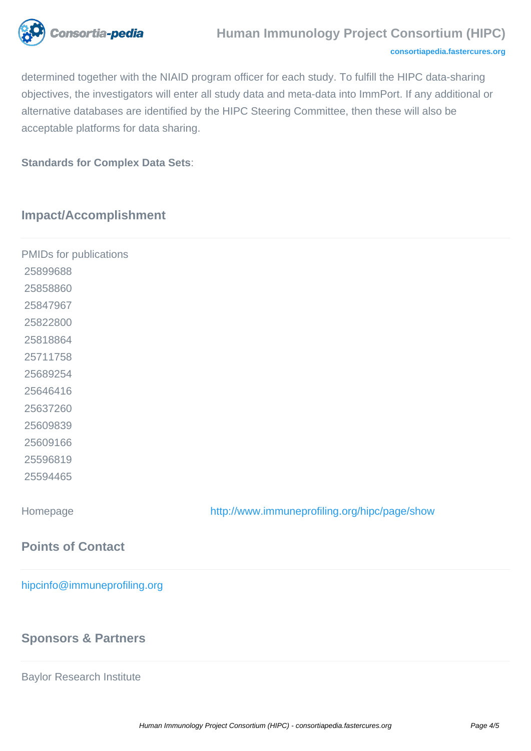

### **Human Immunology Project Consortium (HIPC)**

#### **[consortiapedia.fastercures.org](http://consortiapedia.fastercures.org/)**

determined together with the NIAID program officer for each study. To fulfill the HIPC data-sharing objectives, the investigators will enter all study data and meta-data into ImmPort. If any additional or alternative databases are identified by the HIPC Steering Committee, then these will also be acceptable platforms for data sharing.

**Standards for Complex Data Sets**:

# **Impact/Accomplishment**

| PMIDs for publications       |                                               |  |
|------------------------------|-----------------------------------------------|--|
| 25899688                     |                                               |  |
| 25858860                     |                                               |  |
| 25847967                     |                                               |  |
| 25822800                     |                                               |  |
| 25818864                     |                                               |  |
| 25711758                     |                                               |  |
| 25689254                     |                                               |  |
| 25646416                     |                                               |  |
| 25637260                     |                                               |  |
| 25609839                     |                                               |  |
| 25609166                     |                                               |  |
| 25596819                     |                                               |  |
| 25594465                     |                                               |  |
| Homepage                     | http://www.immuneprofiling.org/hipc/page/show |  |
| <b>Points of Contact</b>     |                                               |  |
| hipcinfo@immuneprofiling.org |                                               |  |

## **Sponsors & Partners**

Baylor Research Institute